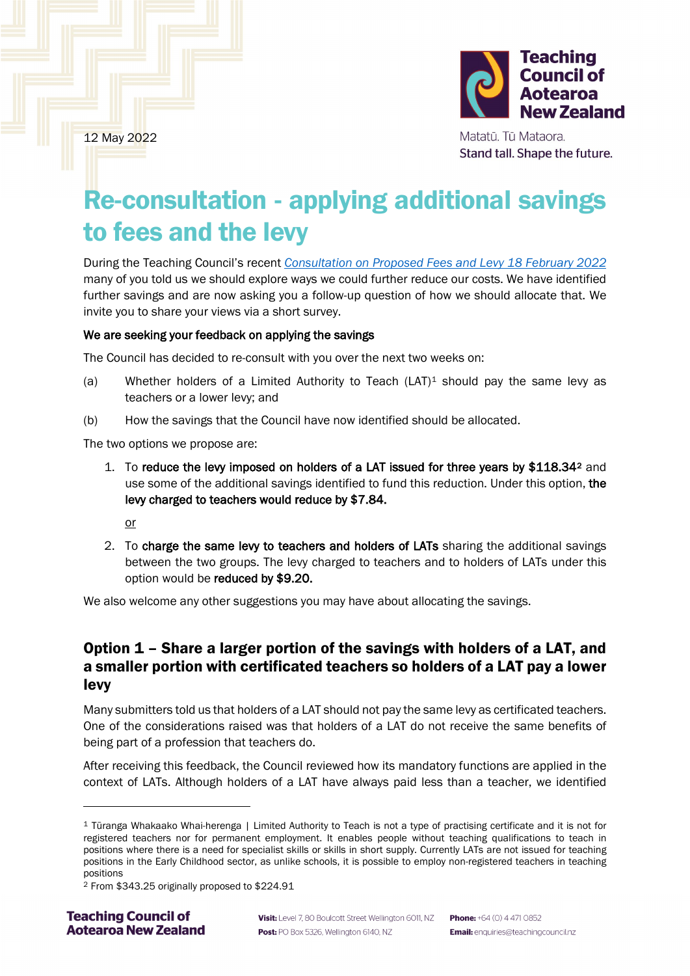

12 May 2022

Matatū. Tū Mataora. Stand tall. Shape the future.

# Re-consultation - applying additional savings to fees and the levy

During the Teaching Council's recent *[Consultation on Proposed Fees and Levy 18 February 2022](https://teachingcouncil.nz/assets/Files/Fees/TC-Consultation-DocumentProposed-fees-and-levy.pdf)* many of you told us we should explore ways we could further reduce our costs. We have identified further savings and are now asking you a follow-up question of how we should allocate that. We invite you to share your views via a short survey.

#### We are seeking your feedback on applying the savings

The Council has decided to re-consult with you over the next two weeks on:

- (a) Whether holders of a Limited Authority to Teach  $(LAT)^1$  $(LAT)^1$  should pay the same levy as teachers or a lower levy; and
- (b) How the savings that the Council have now identified should be allocated.

The two options we propose are:

1. To reduce the levy imposed on holders of a LAT issued for three years by \$118.34[2](#page-0-1) and use some of the additional savings identified to fund this reduction. Under this option, the levy charged to teachers would reduce by \$7.84.

or

2. To charge the same levy to teachers and holders of LATs sharing the additional savings between the two groups. The levy charged to teachers and to holders of LATs under this option would be reduced by \$9.20.

We also welcome any other suggestions you may have about allocating the savings.

# Option 1 – Share a larger portion of the savings with holders of a LAT, and a smaller portion with certificated teachers so holders of a LAT pay a lower levy

Many submitters told us that holders of a LAT should not pay the same levy as certificated teachers. One of the considerations raised was that holders of a LAT do not receive the same benefits of being part of a profession that teachers do.

After receiving this feedback, the Council reviewed how its mandatory functions are applied in the context of LATs. Although holders of a LAT have always paid less than a teacher, we identified

<span id="page-0-0"></span><sup>1</sup> Tūranga Whakaako Whai-herenga | Limited Authority to Teach is not a type of practising certificate and it is not for registered teachers nor for permanent employment. It enables people without teaching qualifications to teach in positions where there is a need for specialist skills or skills in short supply. Currently LATs are not issued for teaching positions in the Early Childhood sector, as unlike schools, it is possible to employ non-registered teachers in teaching positions

<span id="page-0-1"></span><sup>2</sup> From \$343.25 originally proposed to \$224.91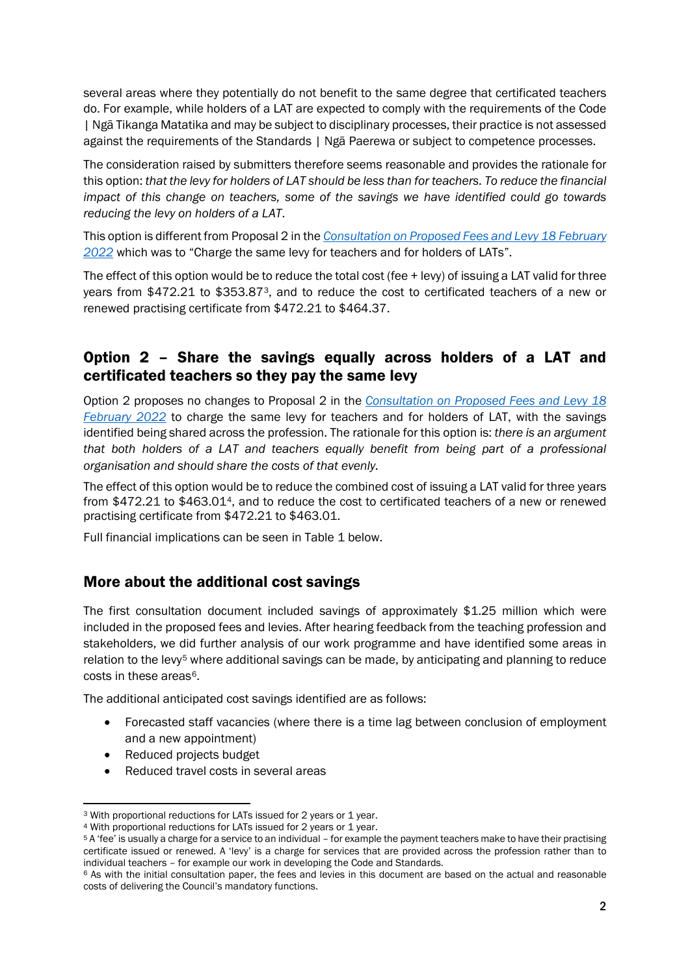several areas where they potentially do not benefit to the same degree that certificated teachers do. For example, while holders of a LAT are expected to comply with the requirements of the Code | Ngā Tikanga Matatika and may be subject to disciplinary processes, their practice is not assessed against the requirements of the Standards | Ngā Paerewa or subject to competence processes.

The consideration raised by submitters therefore seems reasonable and provides the rationale for this option: *that the levy for holders of LAT should be less than for teachers. To reduce the financial impact of this change on teachers, some of the savings we have identified could go towards reducing the levy on holders of a LAT*.

This option is different from Proposal 2 in the *[Consultation on Proposed Fees and Levy 18 February](https://teachingcouncil.nz/assets/Files/Fees/TC-Consultation-DocumentProposed-fees-and-levy.pdf)  [2022](https://teachingcouncil.nz/assets/Files/Fees/TC-Consultation-DocumentProposed-fees-and-levy.pdf)* which was to "Charge the same levy for teachers and for holders of LATs".

The effect of this option would be to reduce the total cost (fee + levy) of issuing a LAT valid for three years from \$472.21 to \$353.87[3,](#page-1-0) and to reduce the cost to certificated teachers of a new or renewed practising certificate from \$472.21 to \$464.37.

# Option 2 – Share the savings equally across holders of a LAT and certificated teachers so they pay the same levy

Option 2 proposes no changes to Proposal 2 in the *[Consultation on Proposed Fees and Levy 18](https://teachingcouncil.nz/assets/Files/Fees/TC-Consultation-DocumentProposed-fees-and-levy.pdf)  [February 2022](https://teachingcouncil.nz/assets/Files/Fees/TC-Consultation-DocumentProposed-fees-and-levy.pdf)* to charge the same levy for teachers and for holders of LAT, with the savings identified being shared across the profession. The rationale for this option is: *there is an argument that both holders of a LAT and teachers equally benefit from being part of a professional organisation and should share the costs of that evenly.*

The effect of this option would be to reduce the combined cost of issuing a LAT valid for three years from \$472.21 to \$463.01[4](#page-1-1), and to reduce the cost to certificated teachers of a new or renewed practising certificate from \$472.21 to \$463.01.

Full financial implications can be seen in Table 1 below.

### More about the additional cost savings

The first consultation document included savings of approximately \$1.25 million which were included in the proposed fees and levies. After hearing feedback from the teaching profession and stakeholders, we did further analysis of our work programme and have identified some areas in relation to the levy<sup>5</sup> where additional savings can be made, by anticipating and planning to reduce costs in these areas<sup>6</sup>.

The additional anticipated cost savings identified are as follows:

- Forecasted staff vacancies (where there is a time lag between conclusion of employment and a new appointment)
- Reduced projects budget
- Reduced travel costs in several areas

<span id="page-1-0"></span><sup>3</sup> With proportional reductions for LATs issued for 2 years or 1 year.

<span id="page-1-1"></span><sup>4</sup> With proportional reductions for LATs issued for 2 years or 1 year.

<span id="page-1-2"></span><sup>5</sup> A 'fee' is usually a charge for a service to an individual – for example the payment teachers make to have their practising certificate issued or renewed. A 'levy' is a charge for services that are provided across the profession rather than to individual teachers - for example our work in developing the Code and Standards.

<span id="page-1-3"></span> $6$  As with the initial consultation paper, the fees and levies in this document are based on the actual and reasonable costs of delivering the Council's mandatory functions.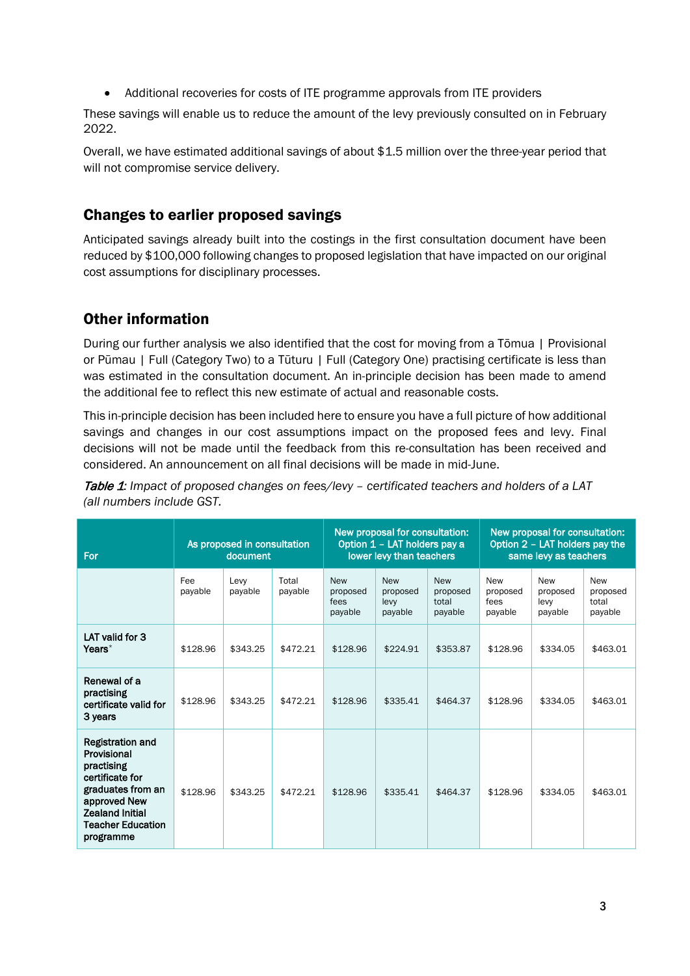• Additional recoveries for costs of ITE programme approvals from ITE providers

These savings will enable us to reduce the amount of the levy previously consulted on in February 2022.

Overall, we have estimated additional savings of about \$1.5 million over the three-year period that will not compromise service delivery.

### Changes to earlier proposed savings

Anticipated savings already built into the costings in the first consultation document have been reduced by \$100,000 following changes to proposed legislation that have impacted on our original cost assumptions for disciplinary processes.

# Other information

During our further analysis we also identified that the cost for moving from a Tōmua | Provisional or Pūmau | Full (Category Two) to a Tūturu | Full (Category One) practising certificate is less than was estimated in the consultation document. An in-principle decision has been made to amend the additional fee to reflect this new estimate of actual and reasonable costs.

This in-principle decision has been included here to ensure you have a full picture of how additional savings and changes in our cost assumptions impact on the proposed fees and levy. Final decisions will not be made until the feedback from this re-consultation has been received and considered. An announcement on all final decisions will be made in mid-June.

Table 1*: Impact of proposed changes on fees/levy – certificated teachers and holders of a LAT (all numbers include GST.*

| For                                                                                                                                                                             | As proposed in consultation<br>document |                 |                  | New proposal for consultation:<br>Option 1 - LAT holders pay a<br>lower levy than teachers |                                           |                                            | New proposal for consultation:<br>Option 2 - LAT holders pay the<br>same levy as teachers |                                           |                                            |
|---------------------------------------------------------------------------------------------------------------------------------------------------------------------------------|-----------------------------------------|-----------------|------------------|--------------------------------------------------------------------------------------------|-------------------------------------------|--------------------------------------------|-------------------------------------------------------------------------------------------|-------------------------------------------|--------------------------------------------|
|                                                                                                                                                                                 | Fee<br>payable                          | Levy<br>payable | Total<br>payable | <b>New</b><br>proposed<br>fees<br>payable                                                  | <b>New</b><br>proposed<br>levy<br>payable | <b>New</b><br>proposed<br>total<br>payable | <b>New</b><br>proposed<br>fees<br>payable                                                 | <b>New</b><br>proposed<br>levy<br>payable | <b>New</b><br>proposed<br>total<br>payable |
| LAT valid for 3<br>Years*                                                                                                                                                       | \$128.96                                | \$343.25        | \$472.21         | \$128.96                                                                                   | \$224.91                                  | \$353.87                                   | \$128.96                                                                                  | \$334.05                                  | \$463.01                                   |
| Renewal of a<br>practising<br>certificate valid for<br>3 years                                                                                                                  | \$128.96                                | \$343.25        | \$472.21         | \$128.96                                                                                   | \$335.41                                  | \$464.37                                   | \$128.96                                                                                  | \$334.05                                  | \$463.01                                   |
| <b>Registration and</b><br>Provisional<br>practising<br>certificate for<br>graduates from an<br>approved New<br><b>Zealand Initial</b><br><b>Teacher Education</b><br>programme | \$128.96                                | \$343.25        | \$472.21         | \$128.96                                                                                   | \$335.41                                  | \$464.37                                   | \$128.96                                                                                  | \$334.05                                  | \$463.01                                   |